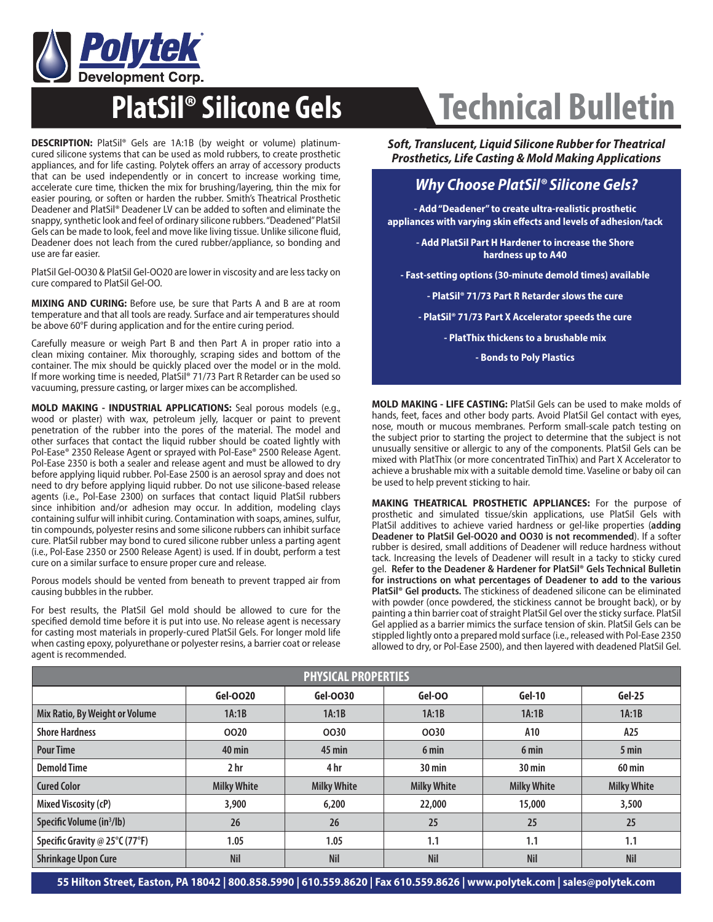

**DESCRIPTION:** PlatSil® Gels are 1A:1B (by weight or volume) platinumcured silicone systems that can be used as mold rubbers, to create prosthetic appliances, and for life casting. Polytek offers an array of accessory products that can be used independently or in concert to increase working time, accelerate cure time, thicken the mix for brushing/layering, thin the mix for easier pouring, or soften or harden the rubber. Smith's Theatrical Prosthetic Deadener and PlatSil® Deadener LV can be added to soften and eliminate the snappy, synthetic look and feel of ordinary silicone rubbers. "Deadened" PlatSil Gels can be made to look, feel and move like living tissue. Unlike silicone fluid, Deadener does not leach from the cured rubber/appliance, so bonding and use are far easier.

PlatSil Gel-OO30 & PlatSil Gel-OO20 are lower in viscosity and are less tacky on cure compared to PlatSil Gel-OO.

**MIXING AND CURING:** Before use, be sure that Parts A and B are at room temperature and that all tools are ready. Surface and air temperatures should be above 60°F during application and for the entire curing period.

Carefully measure or weigh Part B and then Part A in proper ratio into a clean mixing container. Mix thoroughly, scraping sides and bottom of the container. The mix should be quickly placed over the model or in the mold. If more working time is needed, PlatSil® 71/73 Part R Retarder can be used so vacuuming, pressure casting, or larger mixes can be accomplished.

**MOLD MAKING - INDUSTRIAL APPLICATIONS:** Seal porous models (e.g., wood or plaster) with wax, petroleum jelly, lacquer or paint to prevent penetration of the rubber into the pores of the material. The model and other surfaces that contact the liquid rubber should be coated lightly with Pol-Ease® 2350 Release Agent or sprayed with Pol-Ease® 2500 Release Agent. Pol-Ease 2350 is both a sealer and release agent and must be allowed to dry before applying liquid rubber. Pol-Ease 2500 is an aerosol spray and does not need to dry before applying liquid rubber. Do not use silicone-based release agents (i.e., Pol-Ease 2300) on surfaces that contact liquid PlatSil rubbers since inhibition and/or adhesion may occur. In addition, modeling clays containing sulfur will inhibit curing. Contamination with soaps, amines, sulfur, tin compounds, polyester resins and some silicone rubbers can inhibit surface cure. PlatSil rubber may bond to cured silicone rubber unless a parting agent (i.e., Pol-Ease 2350 or 2500 Release Agent) is used. If in doubt, perform a test cure on a similar surface to ensure proper cure and release.

Porous models should be vented from beneath to prevent trapped air from causing bubbles in the rubber.

For best results, the PlatSil Gel mold should be allowed to cure for the specified demold time before it is put into use. No release agent is necessary for casting most materials in properly-cured PlatSil Gels. For longer mold life when casting epoxy, polyurethane or polyester resins, a barrier coat or release agent is recommended.

## **PlatSil® Silicone Gels Technical Bulletin**

*Soft, Translucent, Liquid Silicone Rubber for Theatrical Prosthetics, Life Casting & Mold Making Applications*

## *Why Choose PlatSil® Silicone Gels?*

**- Add "Deadener" to create ultra-realistic prosthetic appliances with varying skin eff ects and levels of adhesion/tack**

> **- Add PlatSil Part H Hardener to increase the Shore hardness up to A40**

**- Fast-setting options (30-minute demold times) available**

**- PlatSil® 71/73 Part R Retarder slows the cure**

**- PlatSil® 71/73 Part X Accelerator speeds the cure**

**- PlatThix thickens to a brushable mix**

**- Bonds to Poly Plastics** 

**MOLD MAKING - LIFE CASTING:** PlatSil Gels can be used to make molds of hands, feet, faces and other body parts. Avoid PlatSil Gel contact with eyes, nose, mouth or mucous membranes. Perform small-scale patch testing on the subject prior to starting the project to determine that the subject is not unusually sensitive or allergic to any of the components. PlatSil Gels can be mixed with PlatThix (or more concentrated TinThix) and Part X Accelerator to achieve a brushable mix with a suitable demold time. Vaseline or baby oil can be used to help prevent sticking to hair.

**MAKING THEATRICAL PROSTHETIC APPLIANCES:** For the purpose of prosthetic and simulated tissue/skin applications, use PlatSil Gels with PlatSil additives to achieve varied hardness or gel-like properties (**adding Deadener to PlatSil Gel-OO20 and OO30 is not recommended**). If a softer rubber is desired, small additions of Deadener will reduce hardness without tack. Increasing the levels of Deadener will result in a tacky to sticky cured gel. **Refer to the Deadener & Hardener for PlatSil® Gels Technical Bulletin for instructions on what percentages of Deadener to add to the various PlatSil® Gel products.** The stickiness of deadened silicone can be eliminated with powder (once powdered, the stickiness cannot be brought back), or by painting a thin barrier coat of straight PlatSil Gel over the sticky surface. PlatSil Gel applied as a barrier mimics the surface tension of skin. PlatSil Gels can be stippled lightly onto a prepared mold surface (i.e., released with Pol-Ease 2350 allowed to dry, or Pol-Ease 2500), and then layered with deadened PlatSil Gel.

| <b>PHYSICAL PROPERTIES</b>            |                    |                    |                    |                    |                    |  |  |  |
|---------------------------------------|--------------------|--------------------|--------------------|--------------------|--------------------|--|--|--|
|                                       | Gel-0020           | Gel-0030           | Gel-OO             | $Gel-10$           | Gel-25             |  |  |  |
| Mix Ratio, By Weight or Volume        | 1A:1B              | 1A:1B              | 1A:1B              | 1A:1B              | 1A:1B              |  |  |  |
| <b>Shore Hardness</b>                 | 0020               | 0030               | 0030               | A10                | A25                |  |  |  |
| <b>Pour Time</b>                      | $40$ min           | $45$ min           | 6 min              | 6 min              | 5 min              |  |  |  |
| <b>Demold Time</b>                    | 2 <sub>hr</sub>    | 4 hr               | $30 \text{ min}$   | 30 min             | <b>60 min</b>      |  |  |  |
| <b>Cured Color</b>                    | <b>Milky White</b> | <b>Milky White</b> | <b>Milky White</b> | <b>Milky White</b> | <b>Milky White</b> |  |  |  |
| Mixed Viscosity (cP)                  | 3,900              | 6,200              | 22,000             | 15,000             | 3,500              |  |  |  |
| Specific Volume (in <sup>3</sup> /lb) | 26                 | 26                 | 25                 | 25                 | 25                 |  |  |  |
| Specific Gravity @ 25°C (77°F)        | 1.05               | 1.05               | 1.1                | 1.1                | 1.1                |  |  |  |
| <b>Shrinkage Upon Cure</b>            | <b>Nil</b>         | <b>Nil</b>         | <b>Nil</b>         | <b>Nil</b>         | <b>Nil</b>         |  |  |  |

**55 Hilton Street, Easton, PA 18042 | 800.858.5990 | 610.559.8620 | Fax 610.559.8626 | www.polytek.com | sales@polytek.com**